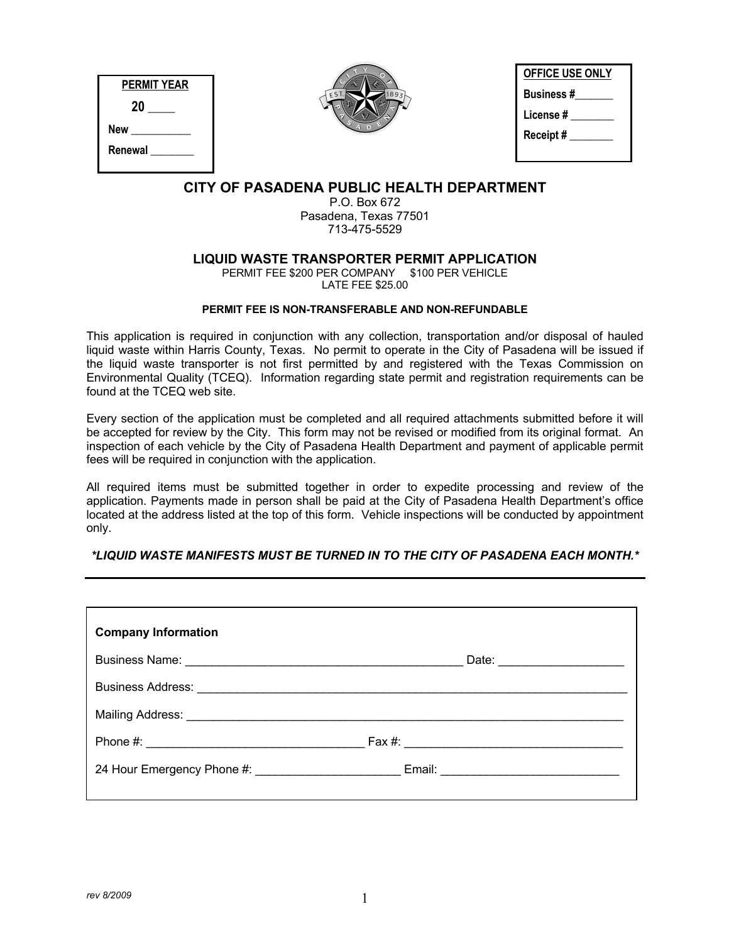| PERMIT YEAR |  |  |  |
|-------------|--|--|--|
| 20          |  |  |  |
| New         |  |  |  |
| Renewal     |  |  |  |
|             |  |  |  |



| <b>OFFICE USE ONLY</b> |  |
|------------------------|--|
| <b>Business#</b>       |  |
| License #              |  |
| Receipt#               |  |
|                        |  |

# **CITY OF PASADENA PUBLIC HEALTH DEPARTMENT**

P.O. Box 672 Pasadena, Texas 77501 713-475-5529

## **LIQUID WASTE TRANSPORTER PERMIT APPLICATION**

PERMIT FEE \$200 PER COMPANY \$100 PER VEHICLE LATE FEE \$25.00

#### **PERMIT FEE IS NON-TRANSFERABLE AND NON-REFUNDABLE**

This application is required in conjunction with any collection, transportation and/or disposal of hauled liquid waste within Harris County, Texas. No permit to operate in the City of Pasadena will be issued if the liquid waste transporter is not first permitted by and registered with the Texas Commission on Environmental Quality (TCEQ). Information regarding state permit and registration requirements can be found at the TCEQ web site.

Every section of the application must be completed and all required attachments submitted before it will be accepted for review by the City. This form may not be revised or modified from its original format. An inspection of each vehicle by the City of Pasadena Health Department and payment of applicable permit fees will be required in conjunction with the application.

All required items must be submitted together in order to expedite processing and review of the application. Payments made in person shall be paid at the City of Pasadena Health Department's office located at the address listed at the top of this form. Vehicle inspections will be conducted by appointment only.

## *\*LIQUID WASTE MANIFESTS MUST BE TURNED IN TO THE CITY OF PASADENA EACH MONTH.\**

| <b>Company Information</b>                                                       |                                |
|----------------------------------------------------------------------------------|--------------------------------|
|                                                                                  | Date: ________________________ |
|                                                                                  |                                |
| Mailing Address: Mailing Address: Mailing Address: Mailing Address: Mail 1999    |                                |
|                                                                                  |                                |
| 24 Hour Emergency Phone #: _________________________ Email: ____________________ |                                |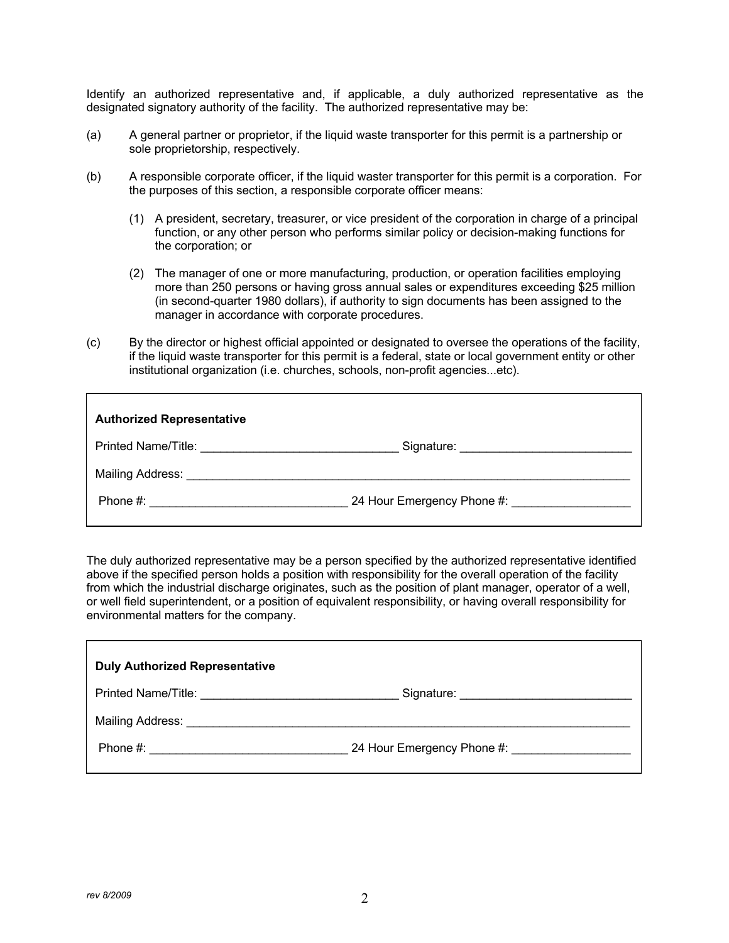Identify an authorized representative and, if applicable, a duly authorized representative as the designated signatory authority of the facility. The authorized representative may be:

- (a) A general partner or proprietor, if the liquid waste transporter for this permit is a partnership or sole proprietorship, respectively.
- (b) A responsible corporate officer, if the liquid waster transporter for this permit is a corporation. For the purposes of this section, a responsible corporate officer means:
	- (1) A president, secretary, treasurer, or vice president of the corporation in charge of a principal function, or any other person who performs similar policy or decision-making functions for the corporation; or
	- (2) The manager of one or more manufacturing, production, or operation facilities employing more than 250 persons or having gross annual sales or expenditures exceeding \$25 million (in second-quarter 1980 dollars), if authority to sign documents has been assigned to the manager in accordance with corporate procedures.
- (c) By the director or highest official appointed or designated to oversee the operations of the facility, if the liquid waste transporter for this permit is a federal, state or local government entity or other institutional organization (i.e. churches, schools, non-profit agencies...etc).

| <b>Authorized Representative</b> |                                               |
|----------------------------------|-----------------------------------------------|
|                                  | Signature: __________________________________ |
|                                  |                                               |
|                                  | 24 Hour Emergency Phone #:                    |

The duly authorized representative may be a person specified by the authorized representative identified above if the specified person holds a position with responsibility for the overall operation of the facility from which the industrial discharge originates, such as the position of plant manager, operator of a well, or well field superintendent, or a position of equivalent responsibility, or having overall responsibility for environmental matters for the company.

| <b>Duly Authorized Representative</b> |                            |
|---------------------------------------|----------------------------|
|                                       |                            |
|                                       |                            |
|                                       | 24 Hour Emergency Phone #: |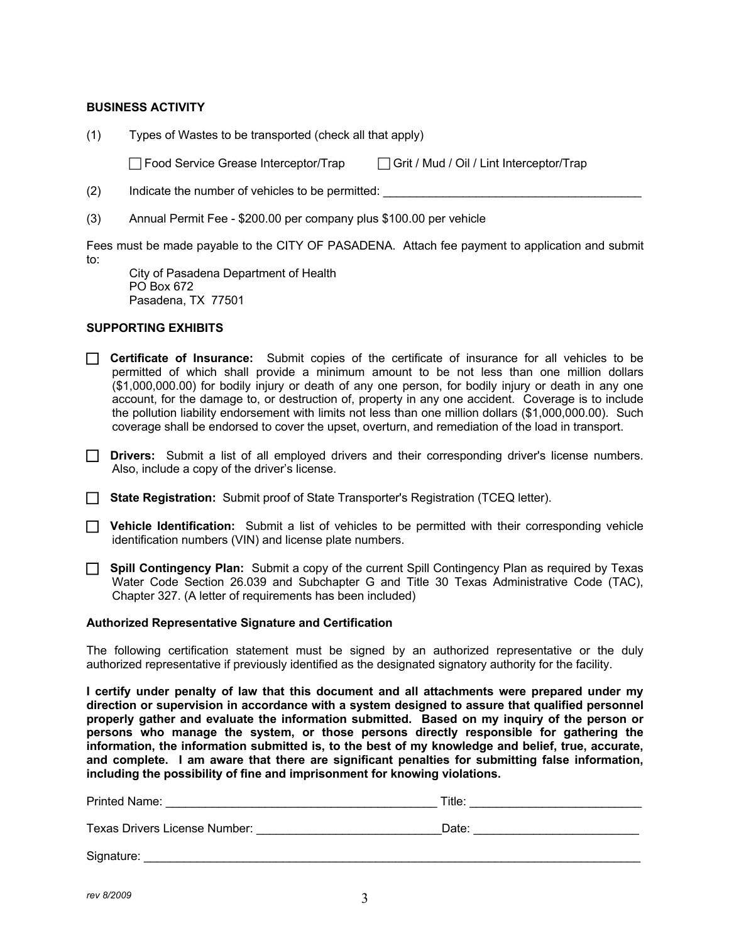#### **BUSINESS ACTIVITY**

(1) Types of Wastes to be transported (check all that apply)

Food Service Grease Interceptor/Trap Form Grit / Mud / Oil / Lint Interceptor/Trap

- $(2)$  Indicate the number of vehicles to be permitted:
- (3) Annual Permit Fee \$200.00 per company plus \$100.00 per vehicle

Fees must be made payable to the CITY OF PASADENA. Attach fee payment to application and submit to:

City of Pasadena Department of Health PO Box 672 Pasadena, TX 77501

#### **SUPPORTING EXHIBITS**

- **Certificate of Insurance:** Submit copies of the certificate of insurance for all vehicles to be permitted of which shall provide a minimum amount to be not less than one million dollars (\$1,000,000.00) for bodily injury or death of any one person, for bodily injury or death in any one account, for the damage to, or destruction of, property in any one accident. Coverage is to include the pollution liability endorsement with limits not less than one million dollars (\$1,000,000.00). Such coverage shall be endorsed to cover the upset, overturn, and remediation of the load in transport.
- **Drivers:** Submit a list of all employed drivers and their corresponding driver's license numbers. Also, include a copy of the driver's license.
- **State Registration:** Submit proof of State Transporter's Registration (TCEQ letter).
- **T** Vehicle Identification: Submit a list of vehicles to be permitted with their corresponding vehicle identification numbers (VIN) and license plate numbers.
- **Spill Contingency Plan:** Submit a copy of the current Spill Contingency Plan as required by Texas Water Code Section 26.039 and Subchapter G and Title 30 Texas Administrative Code (TAC), Chapter 327. (A letter of requirements has been included)

#### **Authorized Representative Signature and Certification**

The following certification statement must be signed by an authorized representative or the duly authorized representative if previously identified as the designated signatory authority for the facility.

**I certify under penalty of law that this document and all attachments were prepared under my direction or supervision in accordance with a system designed to assure that qualified personnel properly gather and evaluate the information submitted. Based on my inquiry of the person or persons who manage the system, or those persons directly responsible for gathering the information, the information submitted is, to the best of my knowledge and belief, true, accurate, and complete. I am aware that there are significant penalties for submitting false information, including the possibility of fine and imprisonment for knowing violations.**

| <b>Printed Name:</b>          | Title: |
|-------------------------------|--------|
| Texas Drivers License Number: | Date:  |
| Signature:                    |        |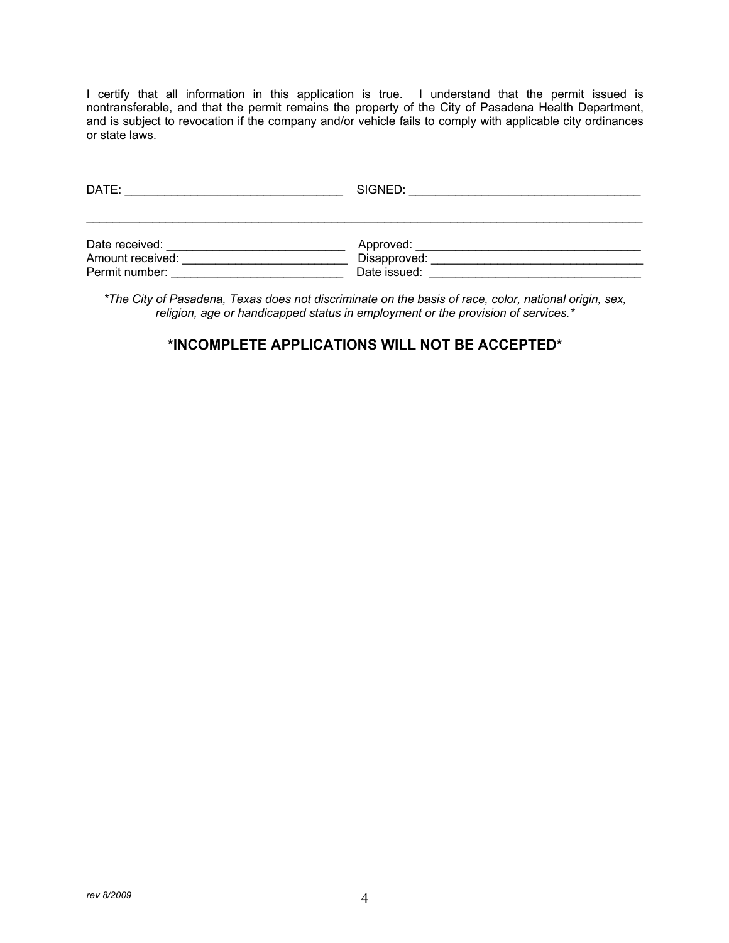I certify that all information in this application is true. I understand that the permit issued is nontransferable, and that the permit remains the property of the City of Pasadena Health Department, and is subject to revocation if the company and/or vehicle fails to comply with applicable city ordinances or state laws.

| DATE:            | SIGNED:      |  |
|------------------|--------------|--|
|                  |              |  |
| Date received:   | Approved:    |  |
| Amount received: | Disapproved: |  |
| Permit number:   | Date issued: |  |

*\*The City of Pasadena, Texas does not discriminate on the basis of race, color, national origin, sex, religion, age or handicapped status in employment or the provision of services.\**

# **\*INCOMPLETE APPLICATIONS WILL NOT BE ACCEPTED\***